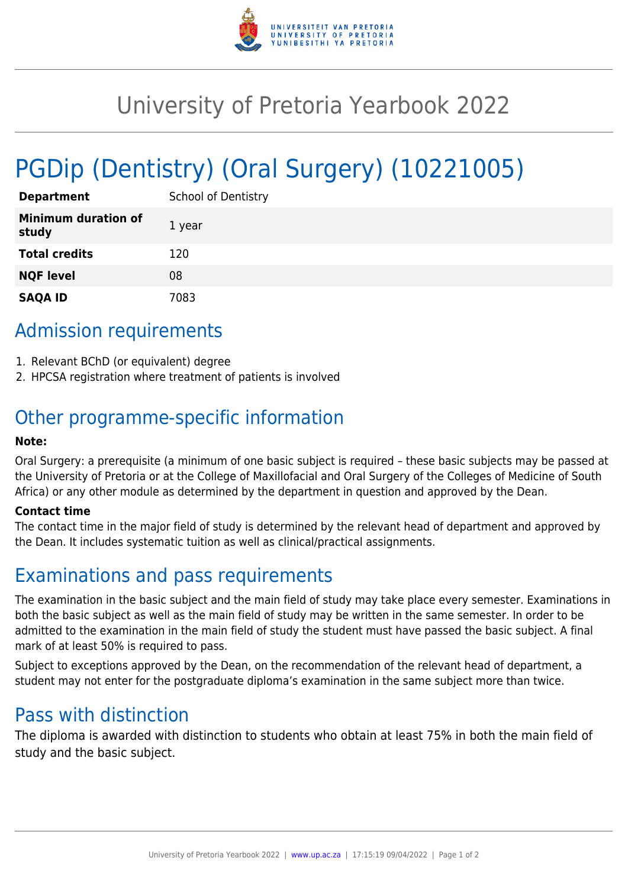

## University of Pretoria Yearbook 2022

# PGDip (Dentistry) (Oral Surgery) (10221005)

| <b>Department</b>                   | <b>School of Dentistry</b> |
|-------------------------------------|----------------------------|
| <b>Minimum duration of</b><br>study | 1 year                     |
| <b>Total credits</b>                | 120                        |
| <b>NQF level</b>                    | 08                         |
| <b>SAQA ID</b>                      | 7083                       |

### Admission requirements

- 1. Relevant BChD (or equivalent) degree
- 2. HPCSA registration where treatment of patients is involved

### Other programme-specific information

#### **Note:**

Oral Surgery: a prerequisite (a minimum of one basic subject is required – these basic subjects may be passed at the University of Pretoria or at the College of Maxillofacial and Oral Surgery of the Colleges of Medicine of South Africa) or any other module as determined by the department in question and approved by the Dean.

#### **Contact time**

The contact time in the major field of study is determined by the relevant head of department and approved by the Dean. It includes systematic tuition as well as clinical/practical assignments.

### Examinations and pass requirements

The examination in the basic subject and the main field of study may take place every semester. Examinations in both the basic subject as well as the main field of study may be written in the same semester. In order to be admitted to the examination in the main field of study the student must have passed the basic subject. A final mark of at least 50% is required to pass.

Subject to exceptions approved by the Dean, on the recommendation of the relevant head of department, a student may not enter for the postgraduate diploma's examination in the same subject more than twice.

### Pass with distinction

The diploma is awarded with distinction to students who obtain at least 75% in both the main field of study and the basic subject.